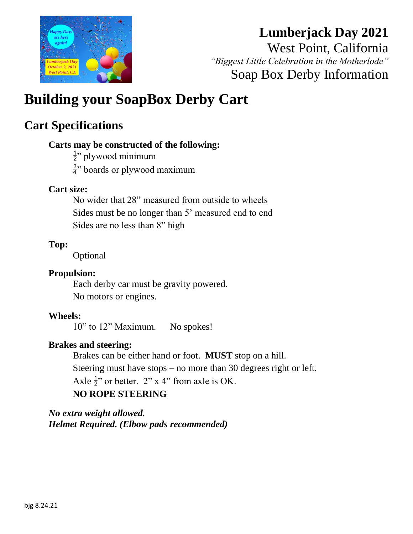

# **Lumberjack Day 2021**

West Point, California *"Biggest Little Celebration in the Motherlode"* Soap Box Derby Information

# **Building your SoapBox Derby Cart**

### **Cart Specifications**

#### **Carts may be constructed of the following:**

- $\frac{1}{2}$ " plywood minimum
- $\frac{3}{4}$ " boards or plywood maximum

#### **Cart size:**

No wider that 28" measured from outside to wheels Sides must be no longer than 5' measured end to end Sides are no less than 8" high

#### **Top:**

Optional

#### **Propulsion:**

Each derby car must be gravity powered. No motors or engines.

#### **Wheels:**

10" to 12" Maximum. No spokes!

#### **Brakes and steering:**

Brakes can be either hand or foot. **MUST** stop on a hill. Steering must have stops – no more than 30 degrees right or left. Axle  $\frac{1}{2}$ " or better. 2" x 4" from axle is OK. **NO ROPE STEERING**

*No extra weight allowed. Helmet Required. (Elbow pads recommended)*